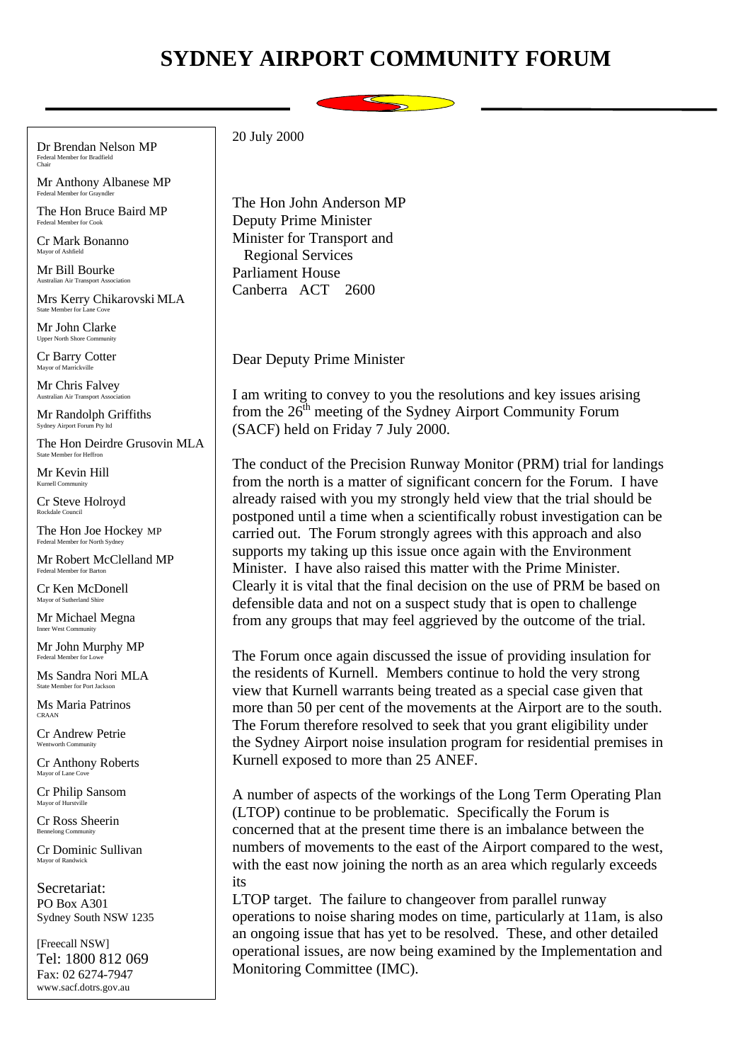## **SYDNEY AIRPORT COMMUNITY FORUM**



Dr Brendan Nelson MP Federal Member for Bradfield Chair

Mr Anthony Albanese MP Federal Member for Gr

The Hon Bruce Baird MP Federal Member for Cook

Cr Mark Bonanno Mayor of Ashfield

Mr Bill Bourke Australian Air Transport Association

Mrs Kerry Chikarovski MLA State Member for La

Mr John Clarke Upper North Shore Co.

Cr Barry Cotter Mayor of Marrickville

Mr Chris Falvey Australian Air Transport Association

Mr Randolph Griffiths Sydney Airport Forum Pty ltd

The Hon Deirdre Grusovin MLA State Member for Heffr

Mr Kevin Hill  $K$ urnell  $Com$ 

Cr Steve Holroyd Rockdale Council

The Hon Joe Hockey MP Federal Member for North Sydney

Mr Robert McClelland MP Federal Member for Barton

Cr Ken McDonell Mayor of Sutherland Shire

Mr Michael Megna Inner West Community

Mr John Murphy MP Federal Member for Lo

Ms Sandra Nori MLA State Member for Port Jackson

Ms Maria Patrinos CRAAN

Cr Andrew Petrie Wentworth Community

Cr Anthony Roberts Mayor of Lane Cove

Cr Philip Sansom Mayor of Hurstv

Cr Ross Sheerin Bennelong Community

Cr Dominic Sullivan Mayor of Randwick

Secretariat: PO Box A301 Sydney South NSW 1235

[Freecall NSW] Tel: 1800 812 069 Fax: 02 6274-7947 www.sacf.dotrs.gov.au

20 July 2000

The Hon John Anderson MP Deputy Prime Minister Minister for Transport and Regional Services Parliament House Canberra ACT 2600

Dear Deputy Prime Minister

I am writing to convey to you the resolutions and key issues arising from the  $26<sup>th</sup>$  meeting of the Sydney Airport Community Forum (SACF) held on Friday 7 July 2000.

The conduct of the Precision Runway Monitor (PRM) trial for landings from the north is a matter of significant concern for the Forum. I have already raised with you my strongly held view that the trial should be postponed until a time when a scientifically robust investigation can be carried out. The Forum strongly agrees with this approach and also supports my taking up this issue once again with the Environment Minister. I have also raised this matter with the Prime Minister. Clearly it is vital that the final decision on the use of PRM be based on defensible data and not on a suspect study that is open to challenge from any groups that may feel aggrieved by the outcome of the trial.

The Forum once again discussed the issue of providing insulation for the residents of Kurnell. Members continue to hold the very strong view that Kurnell warrants being treated as a special case given that more than 50 per cent of the movements at the Airport are to the south. The Forum therefore resolved to seek that you grant eligibility under the Sydney Airport noise insulation program for residential premises in Kurnell exposed to more than 25 ANEF.

A number of aspects of the workings of the Long Term Operating Plan (LTOP) continue to be problematic. Specifically the Forum is concerned that at the present time there is an imbalance between the numbers of movements to the east of the Airport compared to the west, with the east now joining the north as an area which regularly exceeds its

LTOP target. The failure to changeover from parallel runway operations to noise sharing modes on time, particularly at 11am, is also an ongoing issue that has yet to be resolved. These, and other detailed operational issues, are now being examined by the Implementation and Monitoring Committee (IMC).